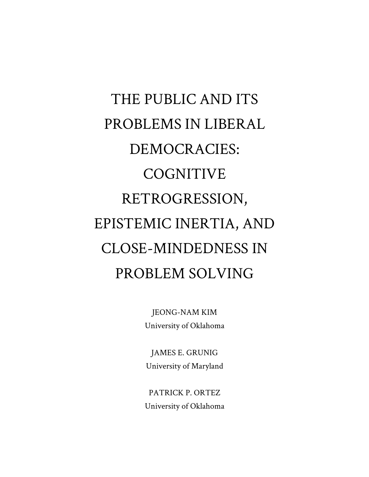# THE PUBLIC AND ITS PROBLEMS IN LIBERAL DEMOCRACIES: COGNITIVE RETROGRESSION, EPISTEMIC INERTIA, AND CLOSE-MINDEDNESS IN PROBLEM SOLVING

JEONG-NAM KIM University of Oklahoma

JAMES E. GRUNIG University of Maryland

PATRICK P. ORTEZ University of Oklahoma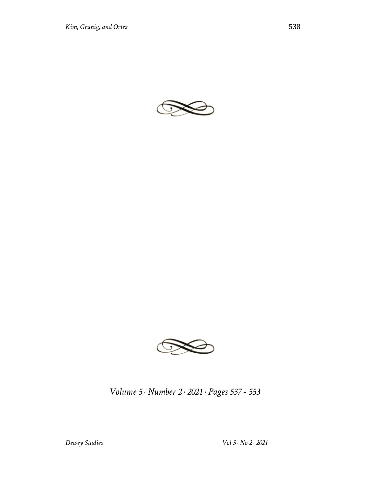



*Volume 5 · Number 2 · 2021 · Pages 537 - 553*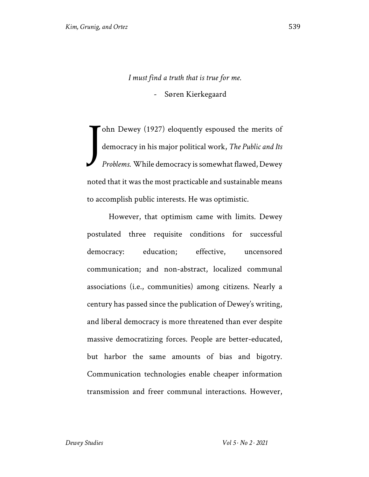*I must find a truth that is true for me.*

- Søren Kierkegaard

ohn Dewey (1927) eloquently espoused the merits of democracy in his major political work, *The Public and Its Problems.* While democracy is somewhat flawed, Dewey noted that it was the most practicable and sustainable means to accomplish public interests. He was optimistic. J

However, that optimism came with limits. Dewey postulated three requisite conditions for successful democracy: education; effective, uncensored communication; and non-abstract, localized communal associations (i.e., communities) among citizens. Nearly a century has passed since the publication of Dewey's writing, and liberal democracy is more threatened than ever despite massive democratizing forces. People are better-educated, but harbor the same amounts of bias and bigotry. Communication technologies enable cheaper information transmission and freer communal interactions. However,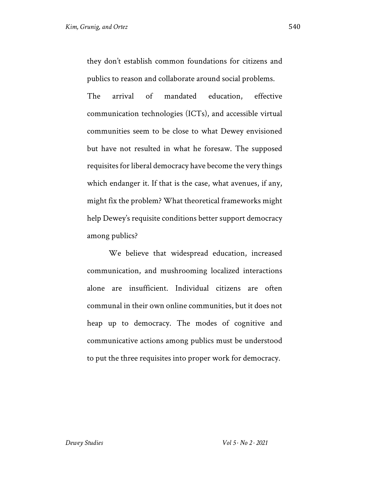they don't establish common foundations for citizens and publics to reason and collaborate around social problems.

The arrival of mandated education, effective communication technologies (ICTs), and accessible virtual communities seem to be close to what Dewey envisioned but have not resulted in what he foresaw. The supposed requisites for liberal democracy have become the very things which endanger it. If that is the case, what avenues, if any, might fix the problem? What theoretical frameworks might help Dewey's requisite conditions better support democracy among publics?

We believe that widespread education, increased communication, and mushrooming localized interactions alone are insufficient. Individual citizens are often communal in their own online communities, but it does not heap up to democracy. The modes of cognitive and communicative actions among publics must be understood to put the three requisites into proper work for democracy.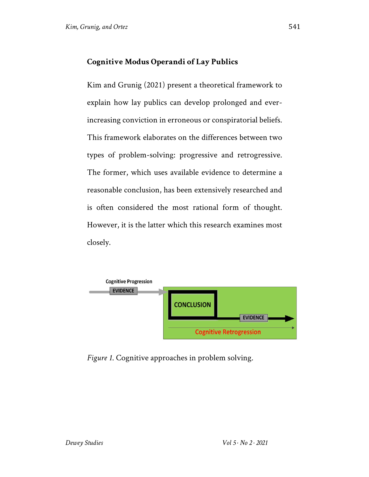#### **Cognitive Modus Operandi of Lay Publics**

Kim and Grunig (2021) present a theoretical framework to explain how lay publics can develop prolonged and everincreasing conviction in erroneous or conspiratorial beliefs. This framework elaborates on the differences between two types of problem-solving: progressive and retrogressive. The former, which uses available evidence to determine a reasonable conclusion, has been extensively researched and is often considered the most rational form of thought. However, it is the latter which this research examines most closely.



*Figure 1*. Cognitive approaches in problem solving.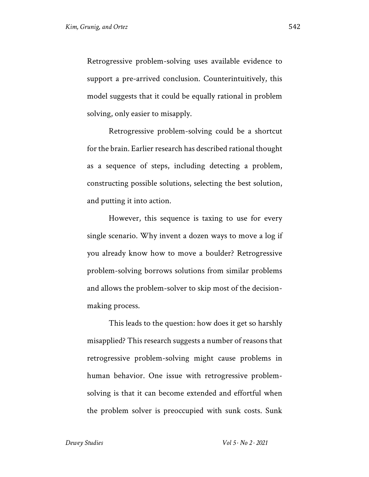Retrogressive problem-solving uses available evidence to support a pre-arrived conclusion. Counterintuitively, this model suggests that it could be equally rational in problem solving, only easier to misapply.

Retrogressive problem-solving could be a shortcut for the brain. Earlier research has described rational thought as a sequence of steps, including detecting a problem, constructing possible solutions, selecting the best solution, and putting it into action.

However, this sequence is taxing to use for every single scenario. Why invent a dozen ways to move a log if you already know how to move a boulder? Retrogressive problem-solving borrows solutions from similar problems and allows the problem-solver to skip most of the decisionmaking process.

This leads to the question: how does it get so harshly misapplied? This research suggests a number of reasons that retrogressive problem-solving might cause problems in human behavior. One issue with retrogressive problemsolving is that it can become extended and effortful when the problem solver is preoccupied with sunk costs. Sunk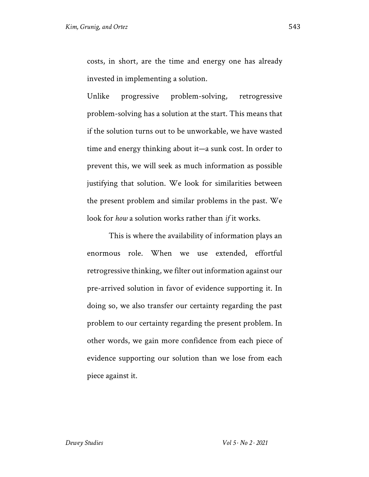costs, in short, are the time and energy one has already invested in implementing a solution.

Unlike progressive problem-solving, retrogressive problem-solving has a solution at the start. This means that if the solution turns out to be unworkable, we have wasted time and energy thinking about it—a sunk cost. In order to prevent this, we will seek as much information as possible justifying that solution. We look for similarities between the present problem and similar problems in the past. We look for *how* a solution works rather than *if* it works.

This is where the availability of information plays an enormous role. When we use extended, effortful retrogressive thinking, we filter out information against our pre-arrived solution in favor of evidence supporting it. In doing so, we also transfer our certainty regarding the past problem to our certainty regarding the present problem. In other words, we gain more confidence from each piece of evidence supporting our solution than we lose from each piece against it.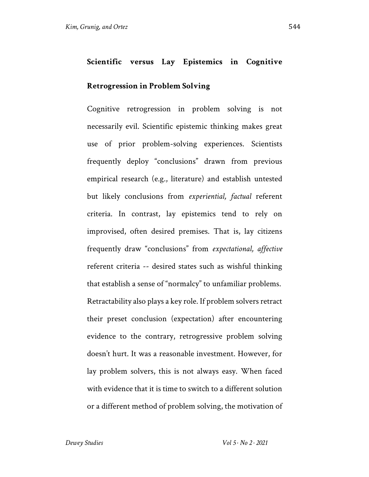#### **Retrogression in Problem Solving**

Cognitive retrogression in problem solving is not necessarily evil. Scientific epistemic thinking makes great use of prior problem-solving experiences. Scientists frequently deploy "conclusions" drawn from previous empirical research (e.g., literature) and establish untested but likely conclusions from *experiential, factual* referent criteria. In contrast, lay epistemics tend to rely on improvised, often desired premises. That is, lay citizens frequently draw "conclusions" from *expectational, affective* referent criteria -- desired states such as wishful thinking that establish a sense of "normalcy" to unfamiliar problems. Retractability also plays a key role. If problem solvers retract their preset conclusion (expectation) after encountering evidence to the contrary, retrogressive problem solving doesn't hurt. It was a reasonable investment. However, for lay problem solvers, this is not always easy. When faced with evidence that it is time to switch to a different solution or a different method of problem solving, the motivation of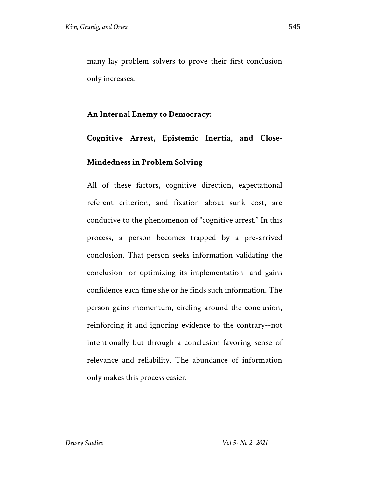many lay problem solvers to prove their first conclusion only increases.

#### **An Internal Enemy to Democracy:**

## **Cognitive Arrest, Epistemic Inertia, and Close-Mindedness in Problem Solving**

All of these factors, cognitive direction, expectational referent criterion, and fixation about sunk cost, are conducive to the phenomenon of "cognitive arrest." In this process, a person becomes trapped by a pre-arrived conclusion. That person seeks information validating the conclusion--or optimizing its implementation--and gains confidence each time she or he finds such information. The person gains momentum, circling around the conclusion, reinforcing it and ignoring evidence to the contrary--not intentionally but through a conclusion-favoring sense of relevance and reliability. The abundance of information only makes this process easier.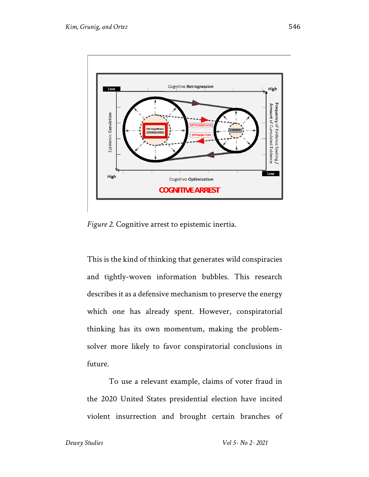

*Figure 2*. Cognitive arrest to epistemic inertia.

This is the kind of thinking that generates wild conspiracies and tightly-woven information bubbles. This research describes it as a defensive mechanism to preserve the energy which one has already spent. However, conspiratorial thinking has its own momentum, making the problemsolver more likely to favor conspiratorial conclusions in future.

To use a relevant example, claims of voter fraud in the 2020 United States presidential election have incited violent insurrection and brought certain branches of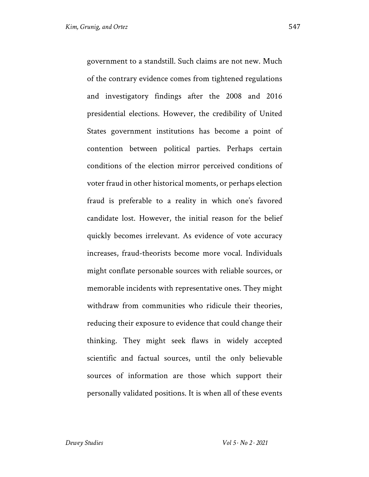government to a standstill. Such claims are not new. Much of the contrary evidence comes from tightened regulations and investigatory findings after the 2008 and 2016 presidential elections. However, the credibility of United States government institutions has become a point of contention between political parties. Perhaps certain conditions of the election mirror perceived conditions of voter fraud in other historical moments, or perhaps election fraud is preferable to a reality in which one's favored candidate lost. However, the initial reason for the belief quickly becomes irrelevant. As evidence of vote accuracy increases, fraud-theorists become more vocal. Individuals might conflate personable sources with reliable sources, or memorable incidents with representative ones. They might withdraw from communities who ridicule their theories, reducing their exposure to evidence that could change their thinking. They might seek flaws in widely accepted scientific and factual sources, until the only believable sources of information are those which support their personally validated positions. It is when all of these events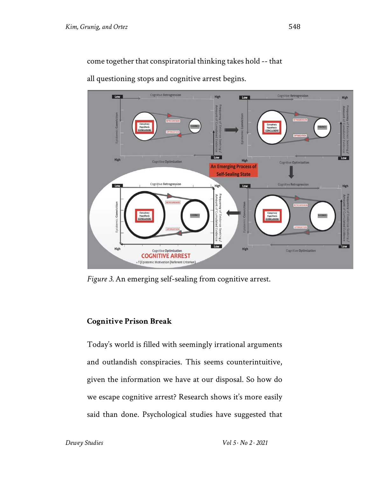come together that conspiratorial thinking takes hold -- that

**Cognitive Retrogressic Cognitive Retrogression** Low High Low **High** Hypothesis<br>CONCLUSIO Low High **High Cognitive Optimization** Cogniti ve Optimization **An Emerging Process of Self-Sealing State** Cognițive Retrogression **Cognitive Retrogression** Low Low Higl nic Conviction  $\overline{I_{\text{out}}}$ High **High** Cognitive Optimization Cognitive Optimization **COGNITIVE ARREST** = f (Epistemic Motivation | Referent Criterion)

all questioning stops and cognitive arrest begins.

*Figure 3.* An emerging self-sealing from cognitive arrest.

### **Cognitive Prison Break**

Today's world is filled with seemingly irrational arguments and outlandish conspiracies. This seems counterintuitive, given the information we have at our disposal. So how do we escape cognitive arrest? Research shows it's more easily said than done. Psychological studies have suggested that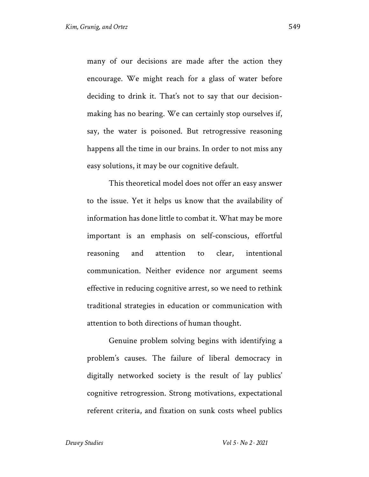many of our decisions are made after the action they encourage. We might reach for a glass of water before deciding to drink it. That's not to say that our decisionmaking has no bearing. We can certainly stop ourselves if, say, the water is poisoned. But retrogressive reasoning happens all the time in our brains. In order to not miss any easy solutions, it may be our cognitive default.

This theoretical model does not offer an easy answer to the issue. Yet it helps us know that the availability of information has done little to combat it. What may be more important is an emphasis on self-conscious, effortful reasoning and attention to clear, intentional communication. Neither evidence nor argument seems effective in reducing cognitive arrest, so we need to rethink traditional strategies in education or communication with attention to both directions of human thought.

Genuine problem solving begins with identifying a problem's causes. The failure of liberal democracy in digitally networked society is the result of lay publics' cognitive retrogression. Strong motivations, expectational referent criteria, and fixation on sunk costs wheel publics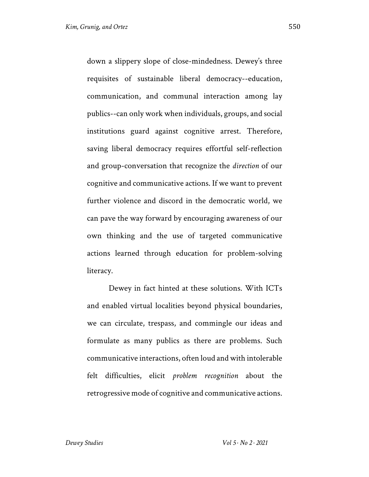down a slippery slope of close-mindedness. Dewey's three requisites of sustainable liberal democracy--education, communication, and communal interaction among lay publics--can only work when individuals, groups, and social institutions guard against cognitive arrest. Therefore, saving liberal democracy requires effortful self-reflection and group-conversation that recognize the *direction* of our cognitive and communicative actions. If we want to prevent further violence and discord in the democratic world, we can pave the way forward by encouraging awareness of our own thinking and the use of targeted communicative actions learned through education for problem-solving literacy.

Dewey in fact hinted at these solutions. With ICTs and enabled virtual localities beyond physical boundaries, we can circulate, trespass, and commingle our ideas and formulate as many publics as there are problems. Such communicative interactions, often loud and with intolerable felt difficulties, elicit *problem recognition* about the retrogressive mode of cognitive and communicative actions.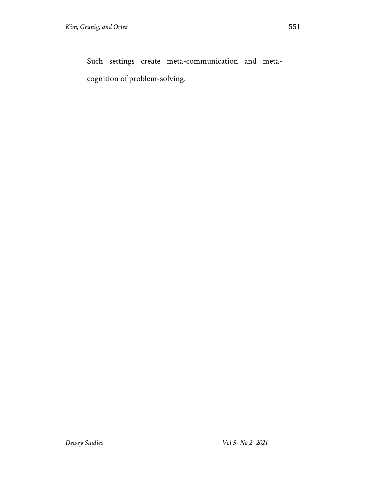Such settings create meta-communication and metacognition of problem-solving.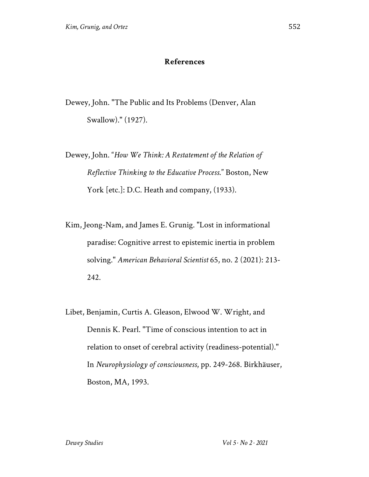#### **References**

Dewey, John. "The Public and Its Problems (Denver, Alan Swallow)." (1927).

Dewey, John. "*How We Think: A Restatement of the Relation of Reflective Thinking to the Educative Process*." Boston, New York [etc.]: D.C. Heath and company, (1933).

Kim, Jeong-Nam, and James E. Grunig. "Lost in informational paradise: Cognitive arrest to epistemic inertia in problem solving." *American Behavioral Scientist* 65, no. 2 (2021): 213- 242.

Libet, Benjamin, Curtis A. Gleason, Elwood W. Wright, and Dennis K. Pearl. "Time of conscious intention to act in relation to onset of cerebral activity (readiness-potential)." In *Neurophysiology of consciousness*, pp. 249-268. Birkhäuser, Boston, MA, 1993.